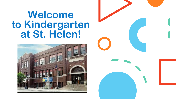## **Welcome to Kindergarten at St. Helen!**



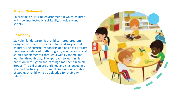#### **Mission Statement**

To provide a nurturing environment in which children will grow intellectually, spiritually, physically and socially.

### **Philosophy**

St. Helen kindergarten is a child centered program designed to meet the needs of five and six year old children. The curriculum consists of a balanced literacy program, a balanced math program, science and social studies supplemented through a weekly theme and learning through play. The approach to learning is hands on with significant learning time spent in small groups. The children are enriched and challenged in a safe and nurturing environment. As a unique creation of God each child will be applauded for their own talents.

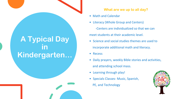### **A Typical Day in Kindergarten…**

### **What are we up to all day?**

- Math and Calendar
- Literacy (Whole Group and Centers) -Centers are individualized so that we can meet students at their academic level.
- Science and social studies themes are used to incorporate additional math and literacy.
- Recess
- Daily prayers, weekly Bible stories and activities, and attending school mass.
- Learning through play!
- Specials Classes- Music, Spanish,
	- PE, and Technology

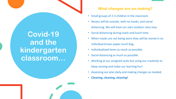### **Covid-19 and the kindergarten classroom…**

### **What changes are we making?**

- Small groups of 2-3 children in the classroom
- Recess will be outside, with no masks, and social distancing. We will have our own outdoor class toys.
- Social distancing during snack and lunch time.
- When masks are not being worn they will be stored in an individual brown paper lunch bag.
- Individualized items as much as possible.
- Social distancing as much as possible.
- Working at our assigned seats but using our creativity to keep moving and make our learning fun!
- Assessing our plan daily and making changes as needed.
- **Cleaning, cleaning, cleaning!**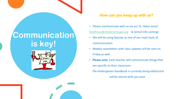## **Communication is key!**



### **How can you keep up with us?**

- Please communicate with us via our St. Helen email [khoffman@sthelenchicago.org](mailto:khoffman@sthelenchicago.org) & (email info coming)
- We will be using Seesaw as one of our main tools of communication.
- Weekly newsletters with class updates will be sent on Friday as well.
- **Please note**: Each teacher will communicate things that are specific to their classroom. *The kindergarten handbook is currently being edited and*

*will be shared with you soon.*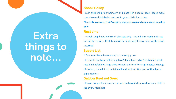### **Snack Policy**

- Each child will bring their own and place it in a special spot. Please make sure the snack is labeled and not in your child's lunch box.

**\*Pretzels, crackers, fruit/veggies, veggie straws and applesauce pouches only**

### **Rest time**

- Travel size pillows and small blankets only. This will be strictly enforced for safety reasons. Rest items will be sent every Friday to be washed and returned.

### **Supply List**

A few items have been added to the supply list-

- Reusable bag to send home pillow/blanket, an extra 1 in. binder, small rest blanket/pillow, large shirt to cover uniform for art projects, a change of clothes, a small 2 oz. individual hand sanitizer & a pack of thin black expo markers.

#### **Outdoor Meet and Greet**

- Please bring a family picture so we can have it displayed for your child to see every morning!

# **Extra things to note…**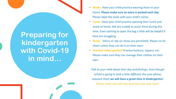**Preparing for kindergarten with Covid-19 in mind…**

- **Masks**: Have your child practice wearing them in your home. **Please make sure an extra is packed each day**. Please label the mask with your child's name.
- **Lunch:** Have your child practice opening their lunch and snack at home. We are unable to assist them during this time. Even starting to open the bag a little will be helpful if they are struggling.
- **Shoes:** Velcro or slip-on shoes are permitted. Please no tie shoes unless they can do it on their own!
- **Practice makes perfect!** Practice buttons, zippers, etc. Please make sure they can manage their clothes on their own.

*Talk to your child about their day and feelings. Even though school is going to look a little different this year please reassure them we will have a great time in kindergarten! Please reach out with any questions you may have!*